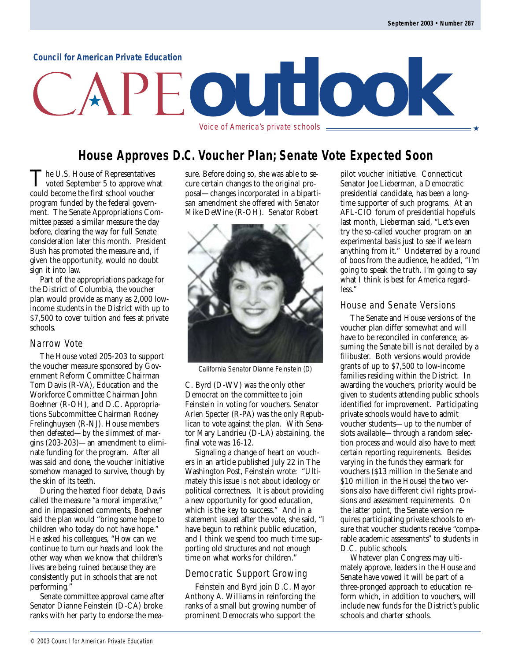#### **Council for American Private Education**

# **outlook** Voice of America's private schools  $\equiv$

### **House Approves D.C. Voucher Plan; Senate Vote Expected Soon**

The U.S. House of Representatives<br>voted September 5 to approve what<br>sexual because the first school wavelers could become the first school voucher program funded by the federal government. The Senate Appropriations Committee passed a similar measure the day before, clearing the way for full Senate consideration later this month. President Bush has promoted the measure and, if given the opportunity, would no doubt sign it into law.

Part of the appropriations package for the District of Columbia, the voucher plan would provide as many as 2,000 lowincome students in the District with up to \$7,500 to cover tuition and fees at private schools.

#### Narrow Vote

The House voted 205-203 to support the voucher measure sponsored by Government Reform Committee Chairman Tom Davis (R-VA), Education and the Workforce Committee Chairman John Boehner (R-OH), and D.C. Appropriations Subcommittee Chairman Rodney Frelinghuysen (R-NJ). House members then defeated—by the slimmest of margins (203-203)—an amendment to eliminate funding for the program. After all was said and done, the voucher initiative somehow managed to survive, though by the skin of its teeth.

During the heated floor debate, Davis called the measure "a moral imperative," and in impassioned comments, Boehner said the plan would "bring some hope to children who today do not have hope." He asked his colleagues, "How can we continue to turn our heads and look the other way when we know that children's lives are being ruined because they are consistently put in schools that are not performing."

Senate committee approval came after Senator Dianne Feinstein (D-CA) broke ranks with her party to endorse the measure. Before doing so, she was able to secure certain changes to the original proposal—changes incorporated in a bipartisan amendment she offered with Senator Mike DeWine (R-OH). Senator Robert



California Senator Dianne Feinstein (D)

C. Byrd (D-WV) was the only other Democrat on the committee to join Feinstein in voting for vouchers. Senator Arlen Specter (R-PA) was the only Republican to vote against the plan. With Senator Mary Landrieu (D-LA) abstaining, the final vote was 16-12.

Signaling a change of heart on vouchers in an article published July 22 in The Washington Post, Feinstein wrote: "Ultimately this issue is not about ideology or political correctness. It is about providing a new opportunity for good education, which is the key to success." And in a statement issued after the vote, she said, "I have begun to rethink public education, and I think we spend too much time supporting old structures and not enough time on what works for children."

#### Democratic Support Growing

Feinstein and Byrd join D.C. Mayor Anthony A. Williams in reinforcing the ranks of a small but growing number of prominent Democrats who support the

pilot voucher initiative. Connecticut Senator Joe Lieberman, a Democratic presidential candidate, has been a longtime supporter of such programs. At an AFL-CIO forum of presidential hopefuls last month, Lieberman said, "Let's even try the so-called voucher program on an experimental basis just to see if we learn anything from it." Undeterred by a round of boos from the audience, he added, "I'm going to speak the truth. I'm going to say what I think is best for America regardless."

#### House and Senate Versions

The Senate and House versions of the voucher plan differ somewhat and will have to be reconciled in conference, assuming the Senate bill is not derailed by a filibuster. Both versions would provide grants of up to \$7,500 to low-income families residing within the District. In awarding the vouchers, priority would be given to students attending public schools identified for improvement. Participating private schools would have to admit voucher students—up to the number of slots available—through a random selection process and would also have to meet certain reporting requirements. Besides varying in the funds they earmark for vouchers (\$13 million in the Senate and \$10 million in the House) the two versions also have different civil rights provisions and assessment requirements. On the latter point, the Senate version requires participating private schools to ensure that voucher students receive "comparable academic assessments" to students in D.C. public schools.

Whatever plan Congress may ultimately approve, leaders in the House and Senate have vowed it will be part of a three-pronged approach to education reform which, in addition to vouchers, will include new funds for the District's public schools and charter schools.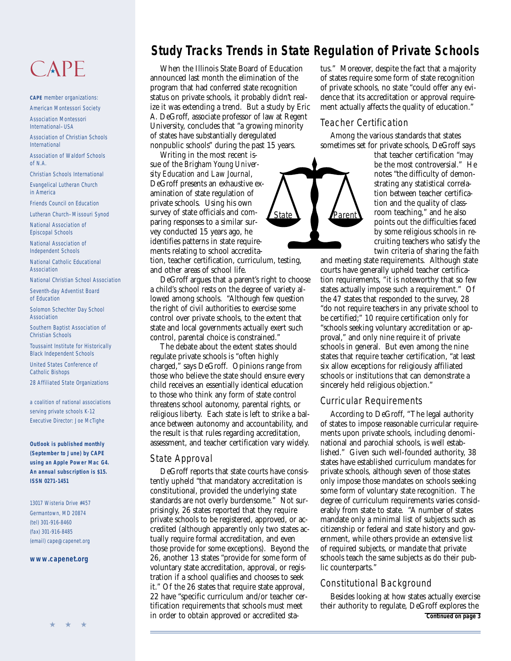## CAPE

**CAPE** member organizations: American Montessori Society

Association Montessori International–USA

Association of Christian Schools International

Association of Waldorf Schools of N.A.

Christian Schools International

Evangelical Lutheran Church in America

Friends Council on Education

Lutheran Church–Missouri Synod

National Association of Episcopal Schools

National Association of Independent Schools

National Catholic Educational Association

National Christian School Association

Seventh-day Adventist Board of Education

Solomon Schechter Day School Association

Southern Baptist Association of Christian Schools

Toussaint Institute for Historically Black Independent Schools

United States Conference of Catholic Bishops

28 Affiliated State Organizations

a coalition of national associations serving private schools K-12 Executive Director: Joe McTighe

**Outlook is published monthly (September to June) by CAPE using an Apple Power Mac G4. An annual subscription is \$15. ISSN 0271-1451**

13017 Wisteria Drive #457 Germantown, MD 20874 (tel) 301-916-8460 (fax) 301-916-8485 (email) cape@capenet.org

#### **[www.capenet.org](http://www.capenet.org)**

## **Study Tracks Trends in State Regulation of Private Schools**

When the Illinois State Board of Education announced last month the elimination of the program that had conferred state recognition status on private schools, it probably didn't realize it was extending a trend. But a study by Eric A. DeGroff, associate professor of law at Regent University, concludes that "a growing minority of states have substantially deregulated nonpublic schools" during the past 15 years.

Writing in the most recent issue of the *Brigham Young University Education and Law Journal*, DeGroff presents an exhaustive examination of state regulation of private schools. Using his own survey of state officials and comparing responses to a similar survey conducted 15 years ago, he identifies patterns in state requirements relating to school accredita-

tion, teacher certification, curriculum, testing, and other areas of school life.

DeGroff argues that a parent's right to choose a child's school rests on the degree of variety allowed among schools. "Although few question the right of civil authorities to exercise some control over private schools, to the extent that state and local governments actually exert such control, parental choice is constrained."

The debate about the extent states should regulate private schools is "often highly charged," says DeGroff. Opinions range from those who believe the state should ensure every child receives an essentially identical education to those who think any form of state control threatens school autonomy, parental rights, or religious liberty. Each state is left to strike a balance between autonomy and accountability, and the result is that rules regarding accreditation, assessment, and teacher certification vary widely.

#### State Approval

DeGroff reports that state courts have consistently upheld "that mandatory accreditation is constitutional, provided the underlying state standards are not overly burdensome." Not surprisingly, 26 states reported that they require private schools to be registered, approved, or accredited (although apparently only two states actually require formal accreditation, and even those provide for some exceptions). Beyond the 26, another 13 states "provide for some form of voluntary state accreditation, approval, or registration if a school qualifies and chooses to seek it." Of the 26 states that require state approval, 22 have "specific curriculum and/or teacher certification requirements that schools must meet in order to obtain approved or accredited status." Moreover, despite the fact that a majority of states require some form of state recognition of private schools, no state "could offer any evidence that its accreditation or approval requirement actually affects the quality of education."

#### Teacher Certification

Among the various standards that states sometimes set for private schools, DeGroff says

State **N Parent** 

that teacher certification "may be the most controversial." He notes "the difficulty of demonstrating any statistical correlation between teacher certification and the quality of classroom teaching," and he also points out the difficulties faced by some religious schools in recruiting teachers who satisfy the twin criteria of sharing the faith

and meeting state requirements. Although state courts have generally upheld teacher certification requirements, "it is noteworthy that so few states actually impose such a requirement." Of the 47 states that responded to the survey, 28 "do not require teachers in any private school to be certified;" 10 require certification only for "schools seeking voluntary accreditation or approval," and only nine require it of private schools in general. But even among the nine states that require teacher certification, "at least six allow exceptions for religiously affiliated schools or institutions that can demonstrate a sincerely held religious objection."

#### Curricular Requirements

According to DeGroff, "The legal authority of states to impose reasonable curricular requirements upon private schools, including denominational and parochial schools, is well established." Given such well-founded authority, 38 states have established curriculum mandates for private schools, although seven of those states only impose those mandates on schools seeking some form of voluntary state recognition. The degree of curriculum requirements varies considerably from state to state. "A number of states mandate only a minimal list of subjects such as citizenship or federal and state history and government, while others provide an extensive list of required subjects, or mandate that private schools teach the same subjects as do their public counterparts."

#### Constitutional Background

Besides looking at how states actually exercise their authority to regulate, DeGroff explores the **Continued on page 3**

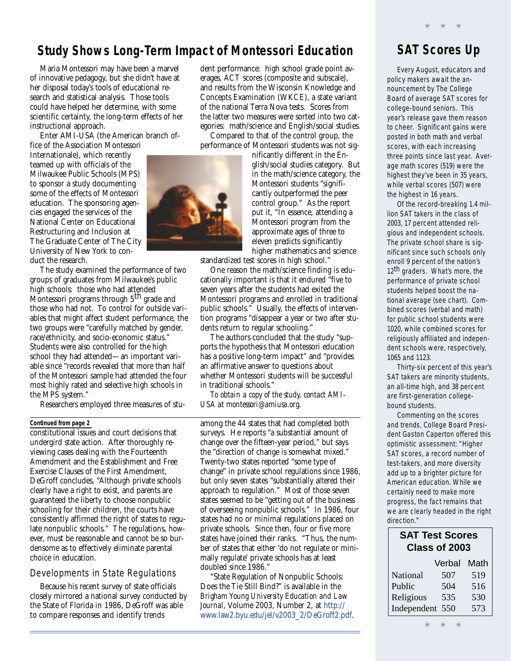### **Study Shows Long-Term Impact of Montessori Education**

Maria Montessori may have been a marvel of innovative pedagogy, but she didn't have at her disposal today's tools of educational research and statistical analysis. Those tools could have helped her determine, with some scientific certainty, the long-term effects of her instructional approach.

Enter AMI-USA (the American branch office of the Association Montessori

Internationale), which recently teamed up with officials of the Milwaukee Public Schools (MPS) to sponsor a study documenting some of the effects of Montessori education. The sponsoring agencies engaged the services of the National Center on Educational Restructuring and Inclusion at The Graduate Center of The City University of New York to conduct the research.

The study examined the performance of two groups of graduates from Milwaukee's public high schools: those who had attended Montessori programs through 5<sup>th</sup> grade and those who had not. To control for outside variables that might affect student performance, the two groups were "carefully matched by gender, race/ethnicity, and socio-economic status." Students were also controlled for the high school they had attended—an important variable since "records revealed that more than half of the Montessori sample had attended the four most highly rated and selective high schools in the MPS system."

Researchers employed three measures of stu-

#### **Continued from page 2**

constitutional issues and court decisions that undergird state action. After thoroughly reviewing cases dealing with the Fourteenth Amendment and the Establishment and Free Exercise Clauses of the First Amendment, DeGroff concludes, "Although private schools clearly have a right to exist, and parents are guaranteed the liberty to choose nonpublic schooling for their children, the courts have consistently affirmed the right of states to regulate nonpublic schools." The regulations, however, must be reasonable and cannot be so burdensome as to effectively eliminate parental choice in education.

#### Developments in State Regulations

Because his recent survey of state officials closely mirrored a national survey conducted by the State of Florida in 1986, DeGroff was able to compare responses and identify trends

dent performance: high school grade point averages, ACT scores (composite and subscale), and results from the Wisconsin Knowledge and Concepts Examination (WKCE), a state variant of the national Terra Nova tests. Scores from the latter two measures were sorted into two categories: math/science and English/social studies.

Compared to that of the control group, the performance of Montessori students was not sig-

nificantly different in the En-

glish/social studies category. But in the math/science category, the Montessori students "significantly outperformed the peer control group." As the report put it, "In essence, attending a Montessori program from the approximate ages of three to eleven predicts significantly higher mathematics and science

standardized test scores in high school."

One reason the math/science finding is educationally important is that it endured "five to seven years after the students had exited the Montessori programs and enrolled in traditional public schools." Usually, the effects of intervention programs "disappear a year or two after students return to regular schooling."

The authors concluded that the study "supports the hypothesis that Montessori education has a positive long-term impact" and "provides an affirmative answer to questions about whether Montessori students will be successful in traditional schools."

*To obtain a copy of the study, contact AMI-USA at montessori@amiusa.org.*

among the 44 states that had completed both surveys. He reports "a substantial amount of change over the fifteen-year period," but says the "direction of change is somewhat mixed." Twenty-two states reported "some type of change" in private school regulations since 1986, but only seven states "substantially altered their approach to regulation." Most of those seven states seemed to be "getting out of the business of overseeing nonpublic schools." In 1986, four states had no or minimal regulations placed on private schools. Since then, four or five more states have joined their ranks. "Thus, the number of states that either 'do not regulate or minimally regulate' private schools has at least doubled since 1986."

"State Regulation of Nonpublic Schools: Does the Tie Still Bind?" is available in the *Brigham Young University Education and Law Journal*, Volume 2003, Number 2, at [http://](http://www.law2.byu.edu/jel/v2003_2/DeGroff2.pdf) [www.law2.byu.edu/jel/v2003\\_2/DeGroff2.pdf.](http://www.law2.byu.edu/jel/v2003_2/DeGroff2.pdf)

## **SAT Scores Up**

★ ★ ★

Every August, educators and policy makers await the announcement by The College Board of average SAT scores for college-bound seniors. This year's release gave them reason to cheer. Significant gains were posted in both math and verbal scores, with each increasing three points since last year. Average math scores (519) were the highest they've been in 35 years, while verbal scores (507) were the highest in 16 years.

Of the record-breaking 1.4 million SAT takers in the class of 2003, 17 percent attended religious and independent schools. The private school share is significant since such schools only enroll 9 percent of the nation's 12<sup>th</sup> graders. What's more, the performance of private school students helped boost the national average (see chart). Combined scores (verbal and math) for public school students were 1020, while combined scores for religiously affiliated and independent schools were, respectively, 1065 and 1123.

Thirty-six percent of this year's SAT takers are minority students, an all-time high, and 38 percent are first-generation collegebound students.

Commenting on the scores and trends, College Board President Gaston Caperton offered this optimistic assessment: "Higher SAT scores, a record number of test-takers, and more diversity add up to a brighter picture for American education. While we certainly need to make more progress, the fact remains that we are clearly headed in the right direction."

#### **SAT Test Scores Class of 2003**

|                 | Verbal | Math |
|-----------------|--------|------|
| National        | 507    | 519  |
| Public          | 504    | 516  |
| Religious       | 535    | 530  |
| Independent 550 |        | 573  |